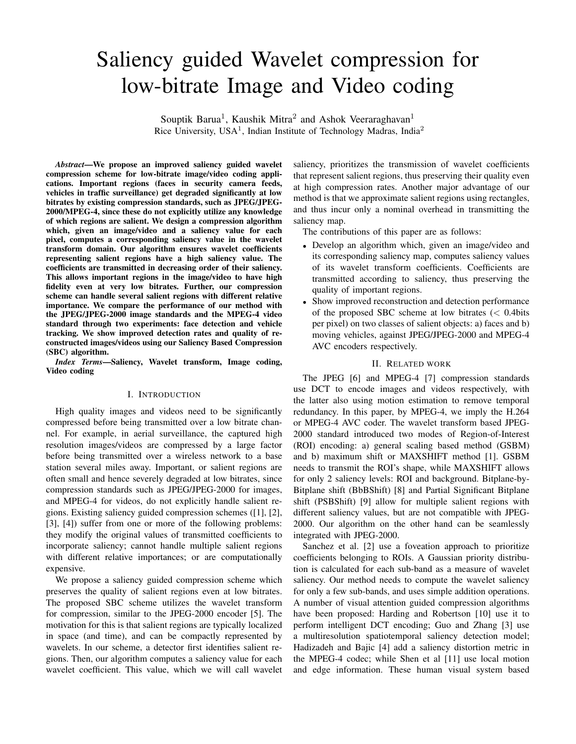# Saliency guided Wavelet compression for low-bitrate Image and Video coding

Souptik Barua<sup>1</sup>, Kaushik Mitra<sup>2</sup> and Ashok Veeraraghavan<sup>1</sup> Rice University, USA<sup>1</sup>, Indian Institute of Technology Madras, India<sup>2</sup>

*Abstract*—We propose an improved saliency guided wavelet compression scheme for low-bitrate image/video coding applications. Important regions (faces in security camera feeds, vehicles in traffic surveillance) get degraded significantly at low bitrates by existing compression standards, such as JPEG/JPEG-2000/MPEG-4, since these do not explicitly utilize any knowledge of which regions are salient. We design a compression algorithm which, given an image/video and a saliency value for each pixel, computes a corresponding saliency value in the wavelet transform domain. Our algorithm ensures wavelet coefficients representing salient regions have a high saliency value. The coefficients are transmitted in decreasing order of their saliency. This allows important regions in the image/video to have high fidelity even at very low bitrates. Further, our compression scheme can handle several salient regions with different relative importance. We compare the performance of our method with the JPEG/JPEG-2000 image standards and the MPEG-4 video standard through two experiments: face detection and vehicle tracking. We show improved detection rates and quality of reconstructed images/videos using our Saliency Based Compression (SBC) algorithm.

*Index Terms*—Saliency, Wavelet transform, Image coding, Video coding

#### I. INTRODUCTION

High quality images and videos need to be significantly compressed before being transmitted over a low bitrate channel. For example, in aerial surveillance, the captured high resolution images/videos are compressed by a large factor before being transmitted over a wireless network to a base station several miles away. Important, or salient regions are often small and hence severely degraded at low bitrates, since compression standards such as JPEG/JPEG-2000 for images, and MPEG-4 for videos, do not explicitly handle salient regions. Existing saliency guided compression schemes ([1], [2], [3], [4]) suffer from one or more of the following problems: they modify the original values of transmitted coefficients to incorporate saliency; cannot handle multiple salient regions with different relative importances; or are computationally expensive.

We propose a saliency guided compression scheme which preserves the quality of salient regions even at low bitrates. The proposed SBC scheme utilizes the wavelet transform for compression, similar to the JPEG-2000 encoder [5]. The motivation for this is that salient regions are typically localized in space (and time), and can be compactly represented by wavelets. In our scheme, a detector first identifies salient regions. Then, our algorithm computes a saliency value for each wavelet coefficient. This value, which we will call wavelet saliency, prioritizes the transmission of wavelet coefficients that represent salient regions, thus preserving their quality even at high compression rates. Another major advantage of our method is that we approximate salient regions using rectangles, and thus incur only a nominal overhead in transmitting the saliency map.

The contributions of this paper are as follows:

- Develop an algorithm which, given an image/video and its corresponding saliency map, computes saliency values of its wavelet transform coefficients. Coefficients are transmitted according to saliency, thus preserving the quality of important regions.
- Show improved reconstruction and detection performance of the proposed SBC scheme at low bitrates  $\langle \langle 0.4 \rangle$ per pixel) on two classes of salient objects: a) faces and b) moving vehicles, against JPEG/JPEG-2000 and MPEG-4 AVC encoders respectively.

#### II. RELATED WORK

The JPEG [6] and MPEG-4 [7] compression standards use DCT to encode images and videos respectively, with the latter also using motion estimation to remove temporal redundancy. In this paper, by MPEG-4, we imply the H.264 or MPEG-4 AVC coder. The wavelet transform based JPEG-2000 standard introduced two modes of Region-of-Interest (ROI) encoding: a) general scaling based method (GSBM) and b) maximum shift or MAXSHIFT method [1]. GSBM needs to transmit the ROI's shape, while MAXSHIFT allows for only 2 saliency levels: ROI and background. Bitplane-by-Bitplane shift (BbBShift) [8] and Partial Significant Bitplane shift (PSBShift) [9] allow for multiple salient regions with different saliency values, but are not compatible with JPEG-2000. Our algorithm on the other hand can be seamlessly integrated with JPEG-2000.

Sanchez et al. [2] use a foveation approach to prioritize coefficients belonging to ROIs. A Gaussian priority distribution is calculated for each sub-band as a measure of wavelet saliency. Our method needs to compute the wavelet saliency for only a few sub-bands, and uses simple addition operations. A number of visual attention guided compression algorithms have been proposed: Harding and Robertson [10] use it to perform intelligent DCT encoding; Guo and Zhang [3] use a multiresolution spatiotemporal saliency detection model; Hadizadeh and Bajic [4] add a saliency distortion metric in the MPEG-4 codec; while Shen et al [11] use local motion and edge information. These human visual system based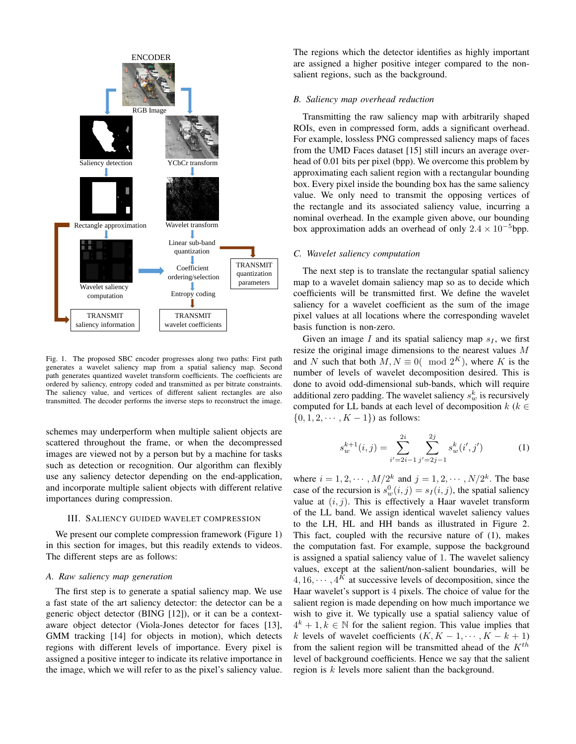

Fig. 1. The proposed SBC encoder progresses along two paths: First path generates a wavelet saliency map from a spatial saliency map. Second path generates quantized wavelet transform coefficients. The coefficients are ordered by saliency, entropy coded and transmitted as per bitrate constraints. The saliency value, and vertices of different salient rectangles are also transmitted. The decoder performs the inverse steps to reconstruct the image.

schemes may underperform when multiple salient objects are scattered throughout the frame, or when the decompressed images are viewed not by a person but by a machine for tasks such as detection or recognition. Our algorithm can flexibly use any saliency detector depending on the end-application, and incorporate multiple salient objects with different relative importances during compression.

# III. SALIENCY GUIDED WAVELET COMPRESSION

We present our complete compression framework (Figure 1) in this section for images, but this readily extends to videos. The different steps are as follows:

#### *A. Raw saliency map generation*

The first step is to generate a spatial saliency map. We use a fast state of the art saliency detector: the detector can be a generic object detector (BING [12]), or it can be a contextaware object detector (Viola-Jones detector for faces [13], GMM tracking [14] for objects in motion), which detects regions with different levels of importance. Every pixel is assigned a positive integer to indicate its relative importance in the image, which we will refer to as the pixel's saliency value. The regions which the detector identifies as highly important are assigned a higher positive integer compared to the nonsalient regions, such as the background.

#### *B. Saliency map overhead reduction*

Transmitting the raw saliency map with arbitrarily shaped ROIs, even in compressed form, adds a significant overhead. For example, lossless PNG compressed saliency maps of faces from the UMD Faces dataset [15] still incurs an average overhead of 0.01 bits per pixel (bpp). We overcome this problem by approximating each salient region with a rectangular bounding box. Every pixel inside the bounding box has the same saliency value. We only need to transmit the opposing vertices of the rectangle and its associated saliency value, incurring a nominal overhead. In the example given above, our bounding box approximation adds an overhead of only  $2.4 \times 10^{-5}$ bpp.

#### *C. Wavelet saliency computation*

The next step is to translate the rectangular spatial saliency map to a wavelet domain saliency map so as to decide which coefficients will be transmitted first. We define the wavelet saliency for a wavelet coefficient as the sum of the image pixel values at all locations where the corresponding wavelet basis function is non-zero.

Given an image  $I$  and its spatial saliency map  $s_I$ , we first resize the original image dimensions to the nearest values M and N such that both  $M, N \equiv 0 \pmod{2^K}$ , where K is the number of levels of wavelet decomposition desired. This is done to avoid odd-dimensional sub-bands, which will require additional zero padding. The wavelet saliency  $s_w^k$  is recursively computed for LL bands at each level of decomposition  $k$  ( $k \in$  $\{0, 1, 2, \cdots, K - 1\}$  as follows:

$$
s_w^{k+1}(i,j) = \sum_{i'=2i-1}^{2i} \sum_{j'=2j-1}^{2j} s_w^k(i',j')
$$
 (1)

where  $i = 1, 2, \dots, M/2^k$  and  $j = 1, 2, \dots, N/2^k$ . The base case of the recursion is  $s_w^0(i, j) = s_l(i, j)$ , the spatial saliency value at  $(i, j)$ . This is effectively a Haar wavelet transform of the LL band. We assign identical wavelet saliency values to the LH, HL and HH bands as illustrated in Figure 2. This fact, coupled with the recursive nature of (1), makes the computation fast. For example, suppose the background is assigned a spatial saliency value of 1. The wavelet saliency values, except at the salient/non-salient boundaries, will be  $4, 16, \dots, 4^K$  at successive levels of decomposition, since the Haar wavelet's support is 4 pixels. The choice of value for the salient region is made depending on how much importance we wish to give it. We typically use a spatial saliency value of  $4^k + 1, k \in \mathbb{N}$  for the salient region. This value implies that k levels of wavelet coefficients  $(K, K - 1, \dots, K - k + 1)$ from the salient region will be transmitted ahead of the  $K^{th}$ level of background coefficients. Hence we say that the salient region is k levels more salient than the background.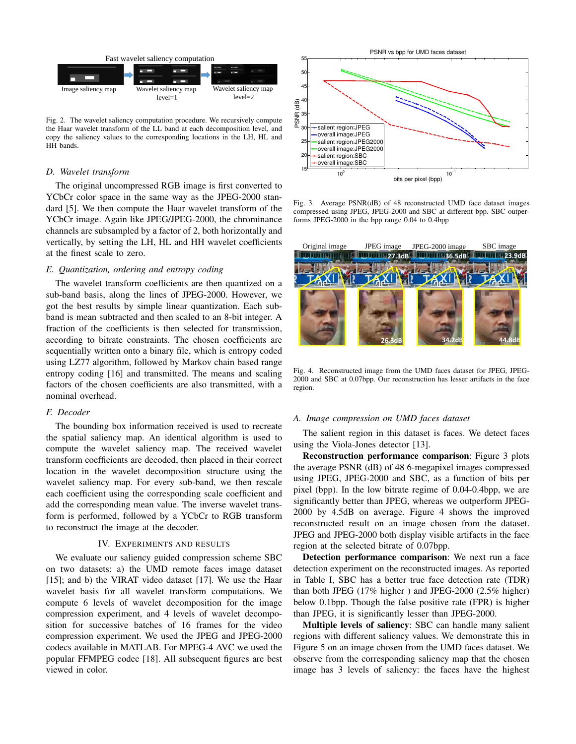

Fig. 2. The wavelet saliency computation procedure. We recursively compute the Haar wavelet transform of the LL band at each decomposition level, and copy the saliency values to the corresponding locations in the LH, HL and HH bands.

#### *D. Wavelet transform*

The original uncompressed RGB image is first converted to YCbCr color space in the same way as the JPEG-2000 standard [5]. We then compute the Haar wavelet transform of the YCbCr image. Again like JPEG/JPEG-2000, the chrominance channels are subsampled by a factor of 2, both horizontally and vertically, by setting the LH, HL and HH wavelet coefficients at the finest scale to zero.

#### *E. Quantization, ordering and entropy coding*

The wavelet transform coefficients are then quantized on a sub-band basis, along the lines of JPEG-2000. However, we got the best results by simple linear quantization. Each subband is mean subtracted and then scaled to an 8-bit integer. A fraction of the coefficients is then selected for transmission, according to bitrate constraints. The chosen coefficients are sequentially written onto a binary file, which is entropy coded using LZ77 algorithm, followed by Markov chain based range entropy coding [16] and transmitted. The means and scaling factors of the chosen coefficients are also transmitted, with a nominal overhead.

### *F. Decoder*

The bounding box information received is used to recreate the spatial saliency map. An identical algorithm is used to compute the wavelet saliency map. The received wavelet transform coefficients are decoded, then placed in their correct location in the wavelet decomposition structure using the wavelet saliency map. For every sub-band, we then rescale each coefficient using the corresponding scale coefficient and add the corresponding mean value. The inverse wavelet transform is performed, followed by a YCbCr to RGB transform to reconstruct the image at the decoder.

# IV. EXPERIMENTS AND RESULTS

We evaluate our saliency guided compression scheme SBC on two datasets: a) the UMD remote faces image dataset [15]; and b) the VIRAT video dataset [17]. We use the Haar wavelet basis for all wavelet transform computations. We compute 6 levels of wavelet decomposition for the image compression experiment, and 4 levels of wavelet decomposition for successive batches of 16 frames for the video compression experiment. We used the JPEG and JPEG-2000 codecs available in MATLAB. For MPEG-4 AVC we used the popular FFMPEG codec [18]. All subsequent figures are best viewed in color.



Fig. 3. Average PSNR(dB) of 48 reconstructed UMD face dataset images compressed using JPEG, JPEG-2000 and SBC at different bpp. SBC outperforms JPEG-2000 in the bpp range 0.04 to 0.4bpp



Fig. 4. Reconstructed image from the UMD faces dataset for JPEG, JPEG-2000 and SBC at 0.07bpp. Our reconstruction has lesser artifacts in the face region.

# *A. Image compression on UMD faces dataset*

The salient region in this dataset is faces. We detect faces using the Viola-Jones detector [13].

Reconstruction performance comparison: Figure 3 plots the average PSNR (dB) of 48 6-megapixel images compressed using JPEG, JPEG-2000 and SBC, as a function of bits per pixel (bpp). In the low bitrate regime of 0.04-0.4bpp, we are significantly better than JPEG, whereas we outperform JPEG-2000 by 4.5dB on average. Figure 4 shows the improved reconstructed result on an image chosen from the dataset. JPEG and JPEG-2000 both display visible artifacts in the face region at the selected bitrate of 0.07bpp.

Detection performance comparison: We next run a face detection experiment on the reconstructed images. As reported in Table I, SBC has a better true face detection rate (TDR) than both JPEG (17% higher ) and JPEG-2000 (2.5% higher) below 0.1bpp. Though the false positive rate (FPR) is higher than JPEG, it is significantly lesser than JPEG-2000.

Multiple levels of saliency: SBC can handle many salient regions with different saliency values. We demonstrate this in Figure 5 on an image chosen from the UMD faces dataset. We observe from the corresponding saliency map that the chosen image has 3 levels of saliency: the faces have the highest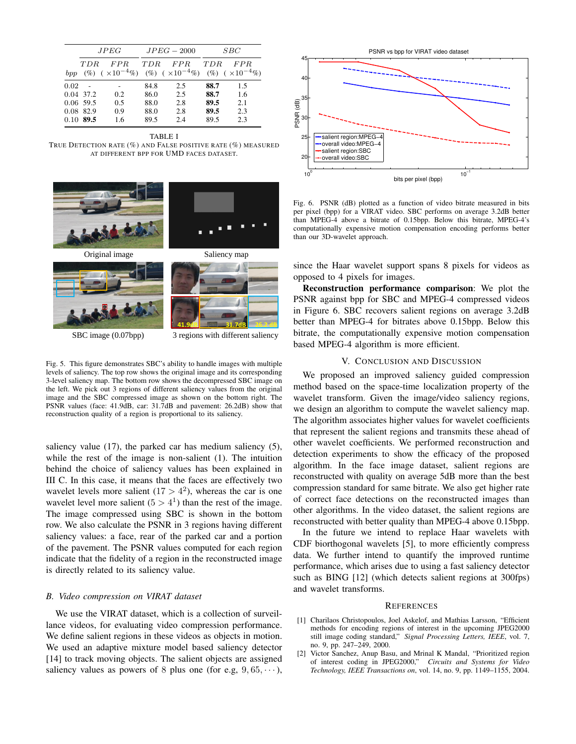|      | JPEG                                                 |                                                      | $JPEG-2000$                          |                                 | SBC                                  |                                      |
|------|------------------------------------------------------|------------------------------------------------------|--------------------------------------|---------------------------------|--------------------------------------|--------------------------------------|
| bpp  | TDR.<br>(% )                                         | FPR<br>$(\times 10^{-4}\%)$ (%) $(\times 10^{-4}\%)$ | <b>TDR</b>                           | FPR                             | <b>TDR</b>                           | FPR<br>$(\%)$ ( $\times 10^{-4}\%$ ) |
| 0.02 | 0.04 37.2<br>$0.06$ 59.5<br>0.08 82.9<br>$0.10$ 89.5 | 0.2<br>0.5<br>0.9<br>1.6                             | 84.8<br>86.0<br>88.0<br>88.0<br>89.5 | 2.5<br>2.5<br>2.8<br>2.8<br>2.4 | 88.7<br>88.7<br>89.5<br>89.5<br>89.5 | 1.5<br>1.6<br>2.1<br>2.3<br>2.3      |

TABLE I TRUE DETECTION RATE (%) AND FALSE POSITIVE RATE (%) MEASURED AT DIFFERENT BPP FOR UMD FACES DATASET.



SBC image (0.07bpp)

3 regions with different saliency

Fig. 5. This figure demonstrates SBC's ability to handle images with multiple levels of saliency. The top row shows the original image and its corresponding 3-level saliency map. The bottom row shows the decompressed SBC image on the left. We pick out 3 regions of different saliency values from the original image and the SBC compressed image as shown on the bottom right. The PSNR values (face: 41.9dB, car: 31.7dB and pavement: 26.2dB) show that reconstruction quality of a region is proportional to its saliency.

saliency value (17), the parked car has medium saliency (5), while the rest of the image is non-salient (1). The intuition behind the choice of saliency values has been explained in III C. In this case, it means that the faces are effectively two wavelet levels more salient  $(17 > 4^2)$ , whereas the car is one wavelet level more salient  $(5 > 4<sup>1</sup>)$  than the rest of the image. The image compressed using SBC is shown in the bottom row. We also calculate the PSNR in 3 regions having different saliency values: a face, rear of the parked car and a portion of the pavement. The PSNR values computed for each region indicate that the fidelity of a region in the reconstructed image is directly related to its saliency value.

#### *B. Video compression on VIRAT dataset*

We use the VIRAT dataset, which is a collection of surveillance videos, for evaluating video compression performance. We define salient regions in these videos as objects in motion. We used an adaptive mixture model based saliency detector [14] to track moving objects. The salient objects are assigned saliency values as powers of 8 plus one (for e.g,  $9, 65, \dots$ ),



Fig. 6. PSNR (dB) plotted as a function of video bitrate measured in bits per pixel (bpp) for a VIRAT video. SBC performs on average 3.2dB better than MPEG-4 above a bitrate of 0.15bpp. Below this bitrate, MPEG-4's computationally expensive motion compensation encoding performs better than our 3D-wavelet approach.

since the Haar wavelet support spans 8 pixels for videos as opposed to 4 pixels for images.

Reconstruction performance comparison: We plot the PSNR against bpp for SBC and MPEG-4 compressed videos in Figure 6. SBC recovers salient regions on average 3.2dB better than MPEG-4 for bitrates above 0.15bpp. Below this bitrate, the computationally expensive motion compensation based MPEG-4 algorithm is more efficient.

#### V. CONCLUSION AND DISCUSSION

We proposed an improved saliency guided compression method based on the space-time localization property of the wavelet transform. Given the image/video saliency regions, we design an algorithm to compute the wavelet saliency map. The algorithm associates higher values for wavelet coefficients that represent the salient regions and transmits these ahead of other wavelet coefficients. We performed reconstruction and detection experiments to show the efficacy of the proposed algorithm. In the face image dataset, salient regions are reconstructed with quality on average 5dB more than the best compression standard for same bitrate. We also get higher rate of correct face detections on the reconstructed images than other algorithms. In the video dataset, the salient regions are reconstructed with better quality than MPEG-4 above 0.15bpp.

In the future we intend to replace Haar wavelets with CDF biorthogonal wavelets [5], to more efficiently compress data. We further intend to quantify the improved runtime performance, which arises due to using a fast saliency detector such as BING [12] (which detects salient regions at 300fps) and wavelet transforms.

# **REFERENCES**

- [1] Charilaos Christopoulos, Joel Askelof, and Mathias Larsson, "Efficient methods for encoding regions of interest in the upcoming JPEG2000 still image coding standard," *Signal Processing Letters, IEEE*, vol. 7, no. 9, pp. 247–249, 2000.
- [2] Victor Sanchez, Anup Basu, and Mrinal K Mandal, "Prioritized region of interest coding in JPEG2000," *Circuits and Systems for Video Technology, IEEE Transactions on*, vol. 14, no. 9, pp. 1149–1155, 2004.